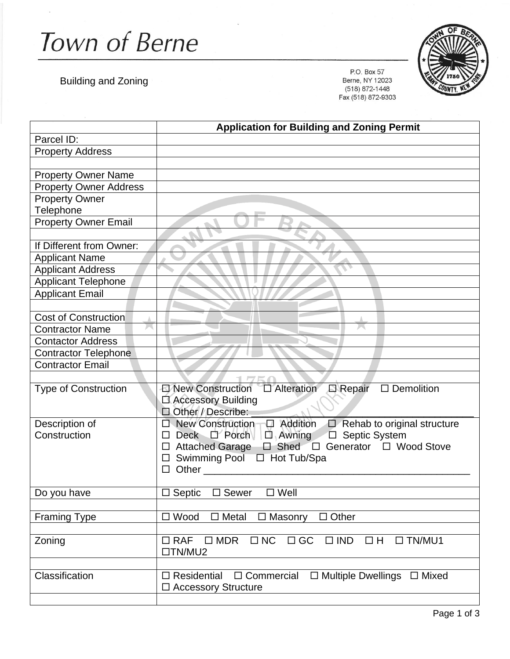Town of Berne

Building and Zoning

P.O. Box 57 Berne, NY 12023 (518) 872-1448 Fax (518) 872-9303



|                               | <b>Application for Building and Zoning Permit</b>                                                         |
|-------------------------------|-----------------------------------------------------------------------------------------------------------|
| Parcel ID:                    |                                                                                                           |
| <b>Property Address</b>       |                                                                                                           |
|                               |                                                                                                           |
| <b>Property Owner Name</b>    |                                                                                                           |
| <b>Property Owner Address</b> |                                                                                                           |
| <b>Property Owner</b>         |                                                                                                           |
| Telephone                     |                                                                                                           |
| <b>Property Owner Email</b>   |                                                                                                           |
|                               |                                                                                                           |
| If Different from Owner:      |                                                                                                           |
| <b>Applicant Name</b>         |                                                                                                           |
| <b>Applicant Address</b>      |                                                                                                           |
| <b>Applicant Telephone</b>    |                                                                                                           |
| <b>Applicant Email</b>        |                                                                                                           |
|                               |                                                                                                           |
| <b>Cost of Construction</b>   |                                                                                                           |
| <b>Contractor Name</b>        |                                                                                                           |
| <b>Contactor Address</b>      |                                                                                                           |
| <b>Contractor Telephone</b>   |                                                                                                           |
| <b>Contractor Email</b>       |                                                                                                           |
|                               |                                                                                                           |
| <b>Type of Construction</b>   | <b>E</b> Repair<br>$\Box$ Demolition                                                                      |
|                               | □ Accessory Building                                                                                      |
|                               | Other / Describe:                                                                                         |
| Description of                | New Construction $\Box$ Addition<br>$\Box$ Rehab to original structure<br>П                               |
| Construction                  | Deck D'Porch D Awning<br>□ Septic System<br>□                                                             |
|                               | □ Shed □ Generator □ Wood Stove<br><b>Attached Garage</b>                                                 |
|                               | Swimming Pool<br>□ Hot Tub/Spa                                                                            |
|                               | Other<br>п                                                                                                |
|                               | Sewer<br>$\square$ Well                                                                                   |
| Do you have                   | $\Box$ Septic                                                                                             |
| <b>Framing Type</b>           | $\square$ Wood<br>$\Box$ Metal<br>$\Box$ Other<br>$\Box$ Masonry                                          |
|                               |                                                                                                           |
| Zoning                        | $\square$<br>NC<br>$\Box$ GC<br>$\Box$ RAF<br>$\square$ MDR<br>$\square$ IND<br>$\Box$ H<br>$\Box$ TN/MU1 |
|                               | $\Box$ TN/MU2                                                                                             |
|                               |                                                                                                           |
| Classification                | $\Box$ Multiple Dwellings $\Box$ Mixed<br>$\Box$ Commercial<br>$\Box$ Residential                         |
|                               | □ Accessory Structure                                                                                     |
|                               |                                                                                                           |
|                               |                                                                                                           |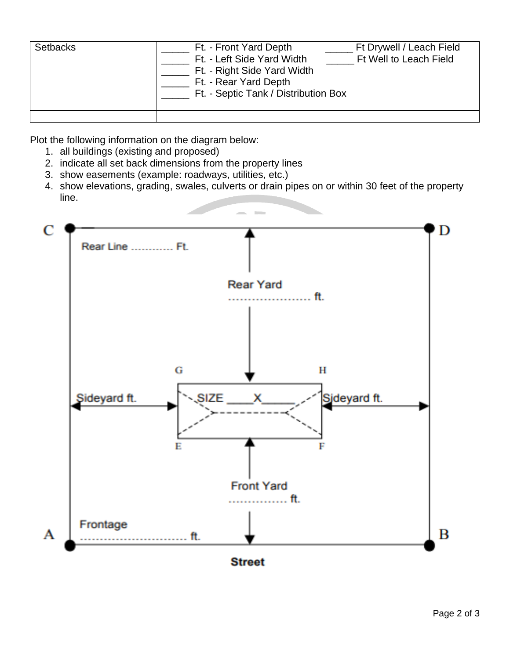| <b>Setbacks</b> | Ft. - Front Yard Depth<br>Ft. - Left Side Yard Width<br>Ft. - Right Side Yard Width<br>Ft. - Rear Yard Depth<br>Ft. - Septic Tank / Distribution Box | Ft Drywell / Leach Field<br>Ft Well to Leach Field |
|-----------------|------------------------------------------------------------------------------------------------------------------------------------------------------|----------------------------------------------------|
|                 |                                                                                                                                                      |                                                    |

Plot the following information on the diagram below:

- 1. all buildings (existing and proposed)
- 2. indicate all set back dimensions from the property lines
- 3. show easements (example: roadways, utilities, etc.)
- 4. show elevations, grading, swales, culverts or drain pipes on or within 30 feet of the property line.